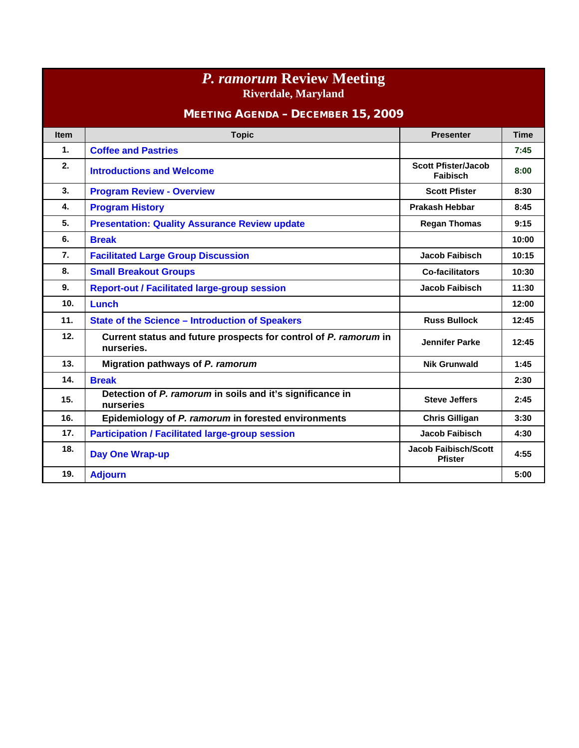| <b>P.</b> ramorum Review Meeting<br><b>Riverdale, Maryland</b> |                                                                                |                                               |             |  |  |
|----------------------------------------------------------------|--------------------------------------------------------------------------------|-----------------------------------------------|-------------|--|--|
| <b>MEETING AGENDA - DECEMBER 15, 2009</b>                      |                                                                                |                                               |             |  |  |
| <b>Item</b>                                                    | <b>Topic</b>                                                                   | <b>Presenter</b>                              | <b>Time</b> |  |  |
| $\mathbf{1}$ .                                                 | <b>Coffee and Pastries</b>                                                     |                                               | 7:45        |  |  |
| 2.                                                             | <b>Introductions and Welcome</b>                                               | <b>Scott Pfister/Jacob</b><br><b>Faibisch</b> | 8:00        |  |  |
| 3.                                                             | <b>Program Review - Overview</b>                                               | <b>Scott Pfister</b>                          | 8:30        |  |  |
| 4.                                                             | <b>Program History</b>                                                         | <b>Prakash Hebbar</b>                         | 8:45        |  |  |
| 5.                                                             | <b>Presentation: Quality Assurance Review update</b>                           | <b>Regan Thomas</b>                           | 9:15        |  |  |
| 6.                                                             | <b>Break</b>                                                                   |                                               | 10:00       |  |  |
| 7.                                                             | <b>Facilitated Large Group Discussion</b>                                      | <b>Jacob Faibisch</b>                         | 10:15       |  |  |
| 8.                                                             | <b>Small Breakout Groups</b>                                                   | <b>Co-facilitators</b>                        | 10:30       |  |  |
| 9.                                                             | <b>Report-out / Facilitated large-group session</b>                            | <b>Jacob Faibisch</b>                         | 11:30       |  |  |
| 10 <sub>1</sub>                                                | Lunch                                                                          |                                               | 12:00       |  |  |
| 11.                                                            | <b>State of the Science - Introduction of Speakers</b>                         | <b>Russ Bullock</b>                           | 12:45       |  |  |
| 12.                                                            | Current status and future prospects for control of P. ramorum in<br>nurseries. | <b>Jennifer Parke</b>                         | 12:45       |  |  |
| 13.                                                            | Migration pathways of P. ramorum                                               | <b>Nik Grunwald</b>                           | 1:45        |  |  |
| 14.                                                            | <b>Break</b>                                                                   |                                               | 2:30        |  |  |
| 15.                                                            | Detection of P. ramorum in soils and it's significance in<br>nurseries         | <b>Steve Jeffers</b>                          | 2:45        |  |  |
| 16.                                                            | Epidemiology of P. ramorum in forested environments                            | <b>Chris Gilligan</b>                         | 3:30        |  |  |
| 17.                                                            | <b>Participation / Facilitated large-group session</b>                         | Jacob Faibisch                                | 4:30        |  |  |
| 18.                                                            | <b>Day One Wrap-up</b>                                                         | <b>Jacob Faibisch/Scott</b><br><b>Pfister</b> | 4:55        |  |  |
| 19.                                                            | <b>Adjourn</b>                                                                 |                                               | 5:00        |  |  |